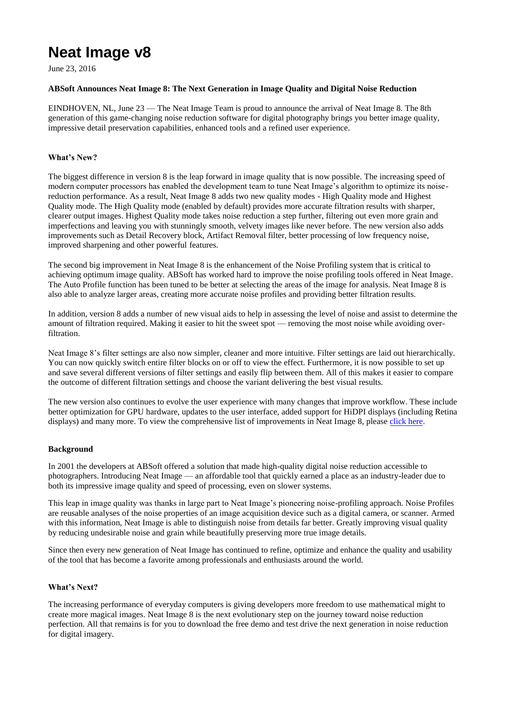# **Neat Image v8**

June 23, 2016

## **ABSoft Announces Neat Image 8: The Next Generation in Image Quality and Digital Noise Reduction**

EINDHOVEN, NL, June 23 — The Neat Image Team is proud to announce the arrival of Neat Image 8. The 8th generation of this game-changing noise reduction software for digital photography brings you better image quality, impressive detail preservation capabilities, enhanced tools and a refined user experience.

#### **What's New?**

The biggest difference in version 8 is the leap forward in image quality that is now possible. The increasing speed of modern computer processors has enabled the development team to tune Neat Image's algorithm to optimize its noisereduction performance. As a result, Neat Image 8 adds two new quality modes - High Quality mode and Highest Quality mode. The High Quality mode (enabled by default) provides more accurate filtration results with sharper, clearer output images. Highest Quality mode takes noise reduction a step further, filtering out even more grain and imperfections and leaving you with stunningly smooth, velvety images like never before. The new version also adds improvements such as Detail Recovery block, Artifact Removal filter, better processing of low frequency noise, improved sharpening and other powerful features.

The second big improvement in Neat Image 8 is the enhancement of the Noise Profiling system that is critical to achieving optimum image quality. ABSoft has worked hard to improve the noise profiling tools offered in Neat Image. The Auto Profile function has been tuned to be better at selecting the areas of the image for analysis. Neat Image 8 is also able to analyze larger areas, creating more accurate noise profiles and providing better filtration results.

In addition, version 8 adds a number of new visual aids to help in assessing the level of noise and assist to determine the amount of filtration required. Making it easier to hit the sweet spot — removing the most noise while avoiding overfiltration.

Neat Image 8's filter settings are also now simpler, cleaner and more intuitive. Filter settings are laid out hierarchically. You can now quickly switch entire filter blocks on or off to view the effect. Furthermore, it is now possible to set up and save several different versions of filter settings and easily flip between them. All of this makes it easier to compare the outcome of different filtration settings and choose the variant delivering the best visual results.

The new version also continues to evolve the user experience with many changes that improve workflow. These include better optimization for GPU hardware, updates to the user interface, added support for HiDPI displays (including Retina displays) and many more. To view the comprehensive list of improvements in Neat Image 8, please [click here.](https://ni.neatvideo.com/features/version-history)

#### **Background**

In 2001 the developers at ABSoft offered a solution that made high-quality digital noise reduction accessible to photographers. Introducing Neat Image — an affordable tool that quickly earned a place as an industry-leader due to both its impressive image quality and speed of processing, even on slower systems.

This leap in image quality was thanks in large part to Neat Image's pioneering noise-profiling approach. Noise Profiles are reusable analyses of the noise properties of an image acquisition device such as a digital camera, or scanner. Armed with this information, Neat Image is able to distinguish noise from details far better. Greatly improving visual quality by reducing undesirable noise and grain while beautifully preserving more true image details.

Since then every new generation of Neat Image has continued to refine, optimize and enhance the quality and usability of the tool that has become a favorite among professionals and enthusiasts around the world.

#### **What's Next?**

The increasing performance of everyday computers is giving developers more freedom to use mathematical might to create more magical images. Neat Image 8 is the next evolutionary step on the journey toward noise reduction perfection. All that remains is for you to download the free demo and test drive the next generation in noise reduction for digital imagery.